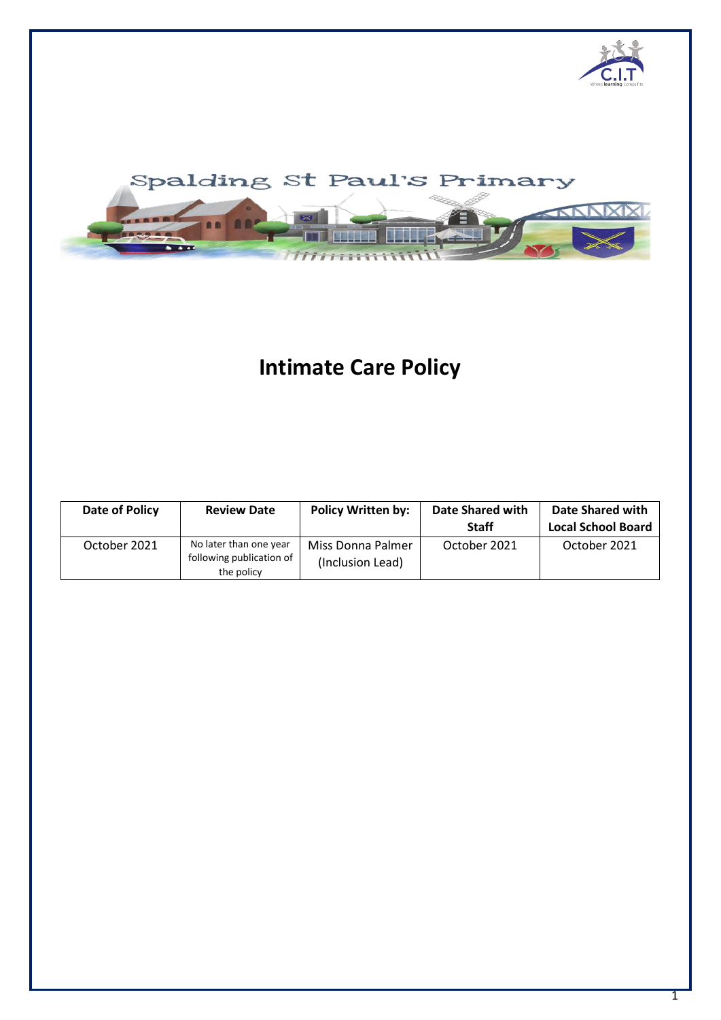



# **Intimate Care Policy**

| Date of Policy | <b>Review Date</b>                                               | <b>Policy Written by:</b>             | Date Shared with<br><b>Staff</b> | Date Shared with<br><b>Local School Board</b> |
|----------------|------------------------------------------------------------------|---------------------------------------|----------------------------------|-----------------------------------------------|
| October 2021   | No later than one year<br>following publication of<br>the policy | Miss Donna Palmer<br>(Inclusion Lead) | October 2021                     | October 2021                                  |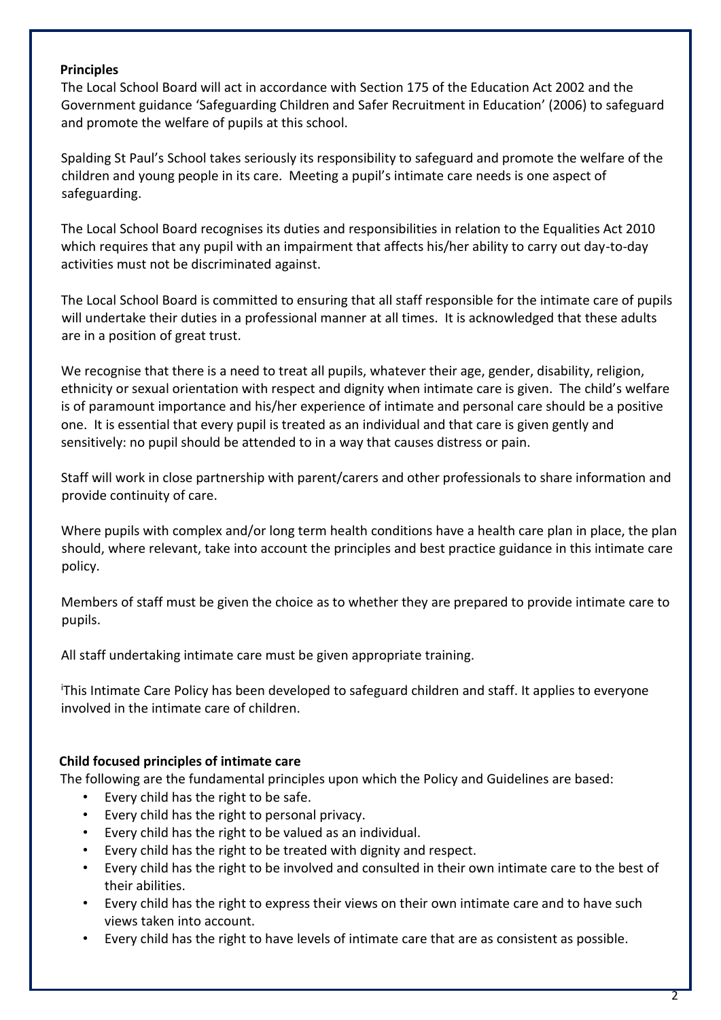## **Principles**

The Local School Board will act in accordance with Section 175 of the Education Act 2002 and the Government guidance 'Safeguarding Children and Safer Recruitment in Education' (2006) to safeguard and promote the welfare of pupils at this school.

Spalding St Paul's School takes seriously its responsibility to safeguard and promote the welfare of the children and young people in its care. Meeting a pupil's intimate care needs is one aspect of safeguarding.

The Local School Board recognises its duties and responsibilities in relation to the Equalities Act 2010 which requires that any pupil with an impairment that affects his/her ability to carry out day-to-day activities must not be discriminated against.

The Local School Board is committed to ensuring that all staff responsible for the intimate care of pupils will undertake their duties in a professional manner at all times. It is acknowledged that these adults are in a position of great trust.

We recognise that there is a need to treat all pupils, whatever their age, gender, disability, religion, ethnicity or sexual orientation with respect and dignity when intimate care is given. The child's welfare is of paramount importance and his/her experience of intimate and personal care should be a positive one. It is essential that every pupil is treated as an individual and that care is given gently and sensitively: no pupil should be attended to in a way that causes distress or pain.

Staff will work in close partnership with parent/carers and other professionals to share information and provide continuity of care.

Where pupils with complex and/or long term health conditions have a health care plan in place, the plan should, where relevant, take into account the principles and best practice guidance in this intimate care policy.

Members of staff must be given the choice as to whether they are prepared to provide intimate care to pupils.

All staff undertaking intimate care must be given appropriate training.

<sup>i</sup>This Intimate Care Policy has been developed to safeguard children and staff. It applies to everyone involved in the intimate care of children.

# **Child focused principles of intimate care**

The following are the fundamental principles upon which the Policy and Guidelines are based:

- Every child has the right to be safe.
- Every child has the right to personal privacy.
- Every child has the right to be valued as an individual.
- Every child has the right to be treated with dignity and respect.
- Every child has the right to be involved and consulted in their own intimate care to the best of their abilities.
- Every child has the right to express their views on their own intimate care and to have such views taken into account.
- Every child has the right to have levels of intimate care that are as consistent as possible.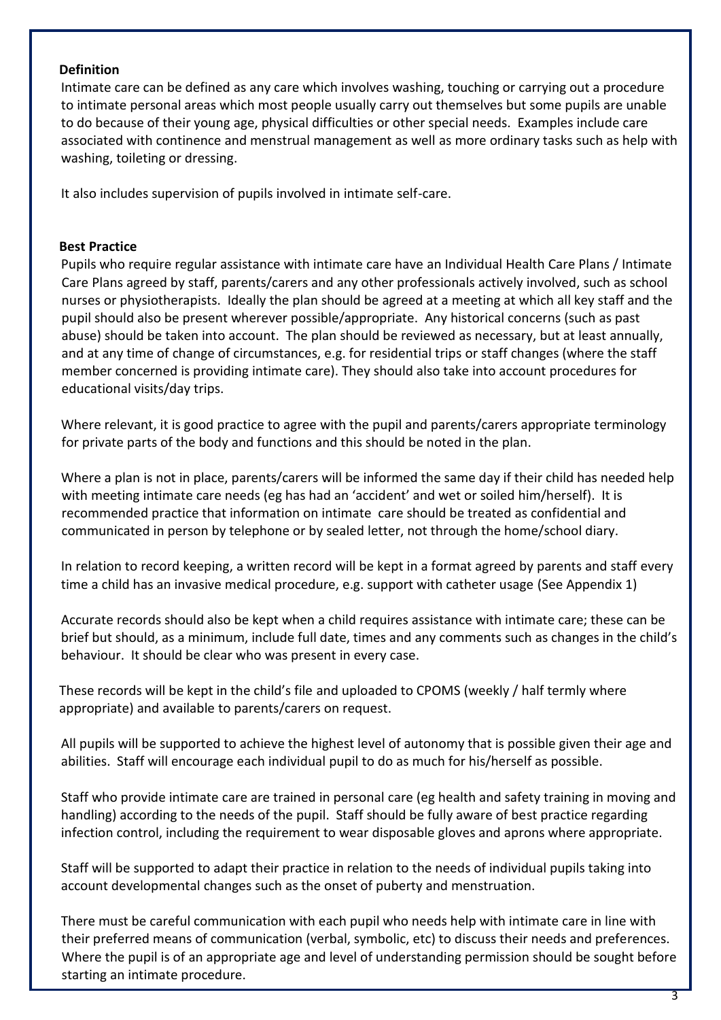## **Definition**

Intimate care can be defined as any care which involves washing, touching or carrying out a procedure to intimate personal areas which most people usually carry out themselves but some pupils are unable to do because of their young age, physical difficulties or other special needs. Examples include care associated with continence and menstrual management as well as more ordinary tasks such as help with washing, toileting or dressing.

It also includes supervision of pupils involved in intimate self-care.

#### **Best Practice**

Pupils who require regular assistance with intimate care have an Individual Health Care Plans / Intimate Care Plans agreed by staff, parents/carers and any other professionals actively involved, such as school nurses or physiotherapists. Ideally the plan should be agreed at a meeting at which all key staff and the pupil should also be present wherever possible/appropriate. Any historical concerns (such as past abuse) should be taken into account. The plan should be reviewed as necessary, but at least annually, and at any time of change of circumstances, e.g. for residential trips or staff changes (where the staff member concerned is providing intimate care). They should also take into account procedures for educational visits/day trips.

Where relevant, it is good practice to agree with the pupil and parents/carers appropriate terminology for private parts of the body and functions and this should be noted in the plan.

Where a plan is not in place, parents/carers will be informed the same day if their child has needed help with meeting intimate care needs (eg has had an 'accident' and wet or soiled him/herself). It is recommended practice that information on intimate care should be treated as confidential and communicated in person by telephone or by sealed letter, not through the home/school diary.

In relation to record keeping, a written record will be kept in a format agreed by parents and staff every time a child has an invasive medical procedure, e.g. support with catheter usage (See Appendix 1)

Accurate records should also be kept when a child requires assistance with intimate care; these can be brief but should, as a minimum, include full date, times and any comments such as changes in the child's behaviour. It should be clear who was present in every case.

These records will be kept in the child's file and uploaded to CPOMS (weekly / half termly where appropriate) and available to parents/carers on request.

All pupils will be supported to achieve the highest level of autonomy that is possible given their age and abilities. Staff will encourage each individual pupil to do as much for his/herself as possible.

Staff who provide intimate care are trained in personal care (eg health and safety training in moving and handling) according to the needs of the pupil. Staff should be fully aware of best practice regarding infection control, including the requirement to wear disposable gloves and aprons where appropriate.

Staff will be supported to adapt their practice in relation to the needs of individual pupils taking into account developmental changes such as the onset of puberty and menstruation.

There must be careful communication with each pupil who needs help with intimate care in line with their preferred means of communication (verbal, symbolic, etc) to discuss their needs and preferences. Where the pupil is of an appropriate age and level of understanding permission should be sought before starting an intimate procedure.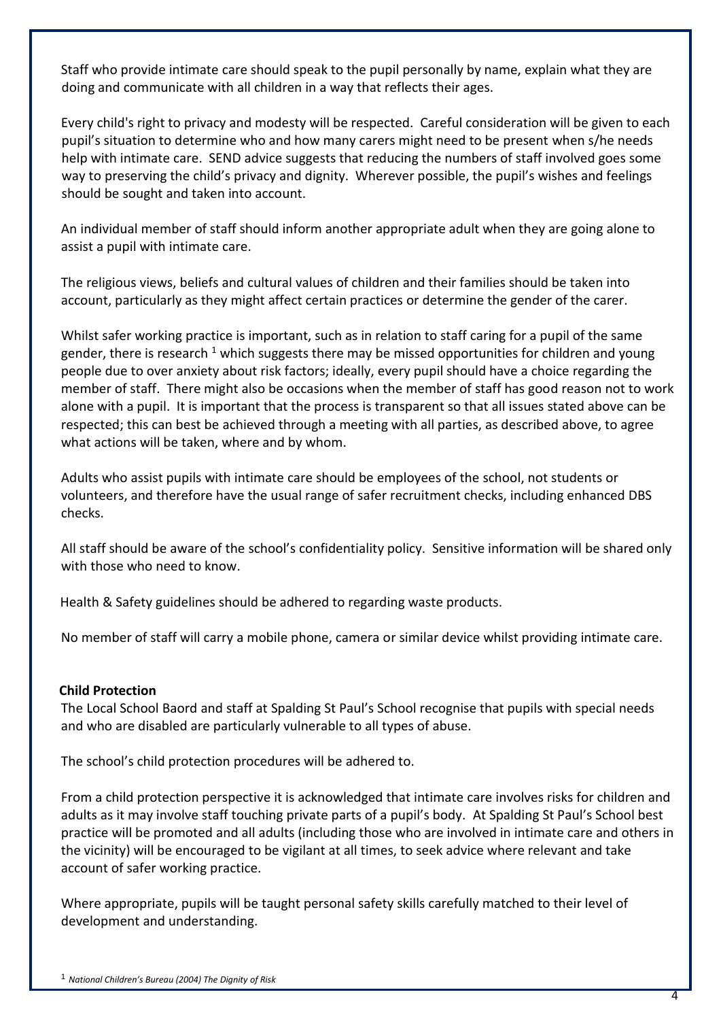Staff who provide intimate care should speak to the pupil personally by name, explain what they are doing and communicate with all children in a way that reflects their ages.

Every child's right to privacy and modesty will be respected. Careful consideration will be given to each pupil's situation to determine who and how many carers might need to be present when s/he needs help with intimate care. SEND advice suggests that reducing the numbers of staff involved goes some way to preserving the child's privacy and dignity. Wherever possible, the pupil's wishes and feelings should be sought and taken into account.

An individual member of staff should inform another appropriate adult when they are going alone to assist a pupil with intimate care.

The religious views, beliefs and cultural values of children and their families should be taken into account, particularly as they might affect certain practices or determine the gender of the carer.

Whilst safer working practice is important, such as in relation to staff caring for a pupil of the same gender, there is research  $1$  which suggests there may be missed opportunities for children and young people due to over anxiety about risk factors; ideally, every pupil should have a choice regarding the member of staff. There might also be occasions when the member of staff has good reason not to work alone with a pupil. It is important that the process is transparent so that all issues stated above can be respected; this can best be achieved through a meeting with all parties, as described above, to agree what actions will be taken, where and by whom.

Adults who assist pupils with intimate care should be employees of the school, not students or volunteers, and therefore have the usual range of safer recruitment checks, including enhanced DBS checks.

All staff should be aware of the school's confidentiality policy. Sensitive information will be shared only with those who need to know.

Health & Safety guidelines should be adhered to regarding waste products.

No member of staff will carry a mobile phone, camera or similar device whilst providing intimate care.

# **Child Protection**

The Local School Baord and staff at Spalding St Paul's School recognise that pupils with special needs and who are disabled are particularly vulnerable to all types of abuse.

The school's child protection procedures will be adhered to.

From a child protection perspective it is acknowledged that intimate care involves risks for children and adults as it may involve staff touching private parts of a pupil's body. At Spalding St Paul's School best practice will be promoted and all adults (including those who are involved in intimate care and others in the vicinity) will be encouraged to be vigilant at all times, to seek advice where relevant and take account of safer working practice.

Where appropriate, pupils will be taught personal safety skills carefully matched to their level of development and understanding.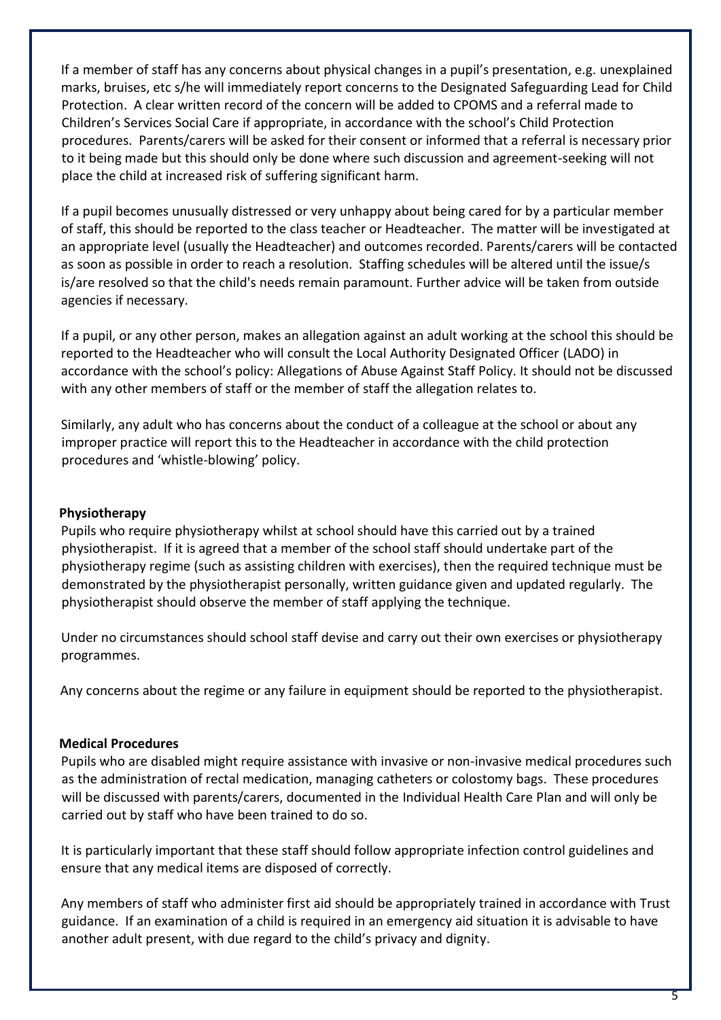If a member of staff has any concerns about physical changes in a pupil's presentation, e.g. unexplained marks, bruises, etc s/he will immediately report concerns to the Designated Safeguarding Lead for Child Protection. A clear written record of the concern will be added to CPOMS and a referral made to Children's Services Social Care if appropriate, in accordance with the school's Child Protection procedures. Parents/carers will be asked for their consent or informed that a referral is necessary prior to it being made but this should only be done where such discussion and agreement-seeking will not place the child at increased risk of suffering significant harm.

If a pupil becomes unusually distressed or very unhappy about being cared for by a particular member of staff, this should be reported to the class teacher or Headteacher. The matter will be investigated at an appropriate level (usually the Headteacher) and outcomes recorded. Parents/carers will be contacted as soon as possible in order to reach a resolution. Staffing schedules will be altered until the issue/s is/are resolved so that the child's needs remain paramount. Further advice will be taken from outside agencies if necessary.

If a pupil, or any other person, makes an allegation against an adult working at the school this should be reported to the Headteacher who will consult the Local Authority Designated Officer (LADO) in accordance with the school's policy: Allegations of Abuse Against Staff Policy. It should not be discussed with any other members of staff or the member of staff the allegation relates to.

Similarly, any adult who has concerns about the conduct of a colleague at the school or about any improper practice will report this to the Headteacher in accordance with the child protection procedures and 'whistle-blowing' policy.

## **Physiotherapy**

Pupils who require physiotherapy whilst at school should have this carried out by a trained physiotherapist. If it is agreed that a member of the school staff should undertake part of the physiotherapy regime (such as assisting children with exercises), then the required technique must be demonstrated by the physiotherapist personally, written guidance given and updated regularly. The physiotherapist should observe the member of staff applying the technique.

Under no circumstances should school staff devise and carry out their own exercises or physiotherapy programmes.

Any concerns about the regime or any failure in equipment should be reported to the physiotherapist.

## **Medical Procedures**

Pupils who are disabled might require assistance with invasive or non-invasive medical procedures such as the administration of rectal medication, managing catheters or colostomy bags. These procedures will be discussed with parents/carers, documented in the Individual Health Care Plan and will only be carried out by staff who have been trained to do so.

It is particularly important that these staff should follow appropriate infection control guidelines and ensure that any medical items are disposed of correctly.

Any members of staff who administer first aid should be appropriately trained in accordance with Trust guidance. If an examination of a child is required in an emergency aid situation it is advisable to have another adult present, with due regard to the child's privacy and dignity.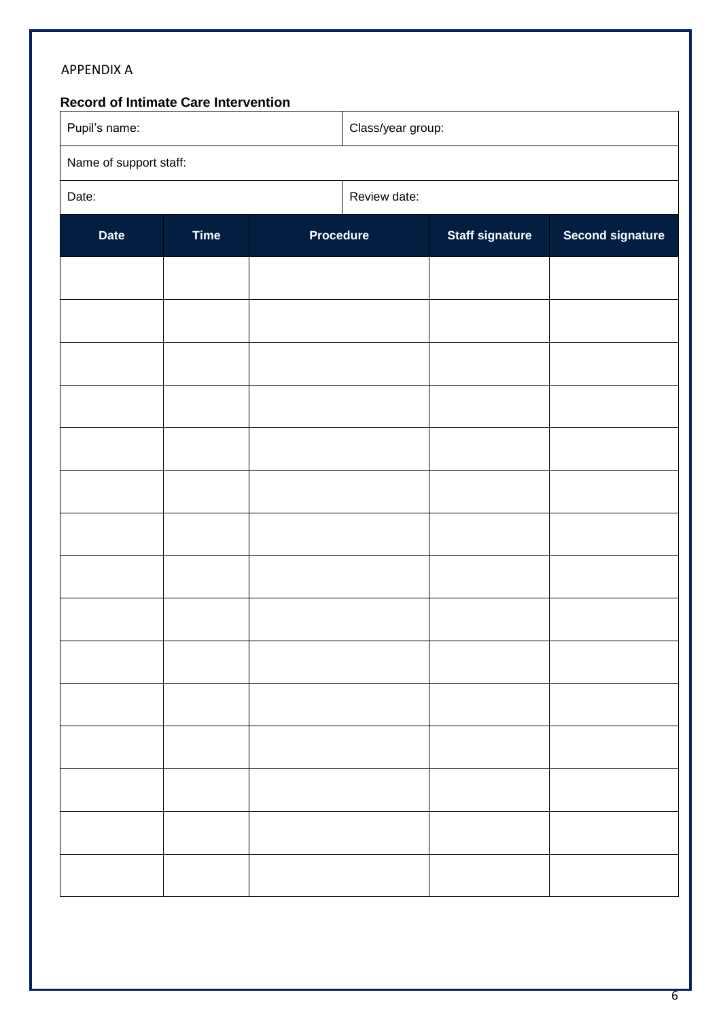| <b>APPENDIX A</b><br>Record of Intimate Care Intervention |             |                  |                   |                        |                         |  |
|-----------------------------------------------------------|-------------|------------------|-------------------|------------------------|-------------------------|--|
| Pupil's name:                                             |             |                  | Class/year group: |                        |                         |  |
| Name of support staff:                                    |             |                  |                   |                        |                         |  |
| Date:                                                     |             |                  | Review date:      |                        |                         |  |
| <b>Date</b>                                               | <b>Time</b> | <b>Procedure</b> |                   | <b>Staff signature</b> | <b>Second signature</b> |  |
|                                                           |             |                  |                   |                        |                         |  |
|                                                           |             |                  |                   |                        |                         |  |
|                                                           |             |                  |                   |                        |                         |  |
|                                                           |             |                  |                   |                        |                         |  |
|                                                           |             |                  |                   |                        |                         |  |
|                                                           |             |                  |                   |                        |                         |  |
|                                                           |             |                  |                   |                        |                         |  |
|                                                           |             |                  |                   |                        |                         |  |
|                                                           |             |                  |                   |                        |                         |  |
|                                                           |             |                  |                   |                        |                         |  |
|                                                           |             |                  |                   |                        |                         |  |
|                                                           |             |                  |                   |                        |                         |  |
|                                                           |             |                  |                   |                        |                         |  |
|                                                           |             |                  |                   |                        |                         |  |
|                                                           |             |                  |                   |                        |                         |  |
|                                                           |             |                  |                   |                        |                         |  |
|                                                           |             |                  |                   |                        |                         |  |